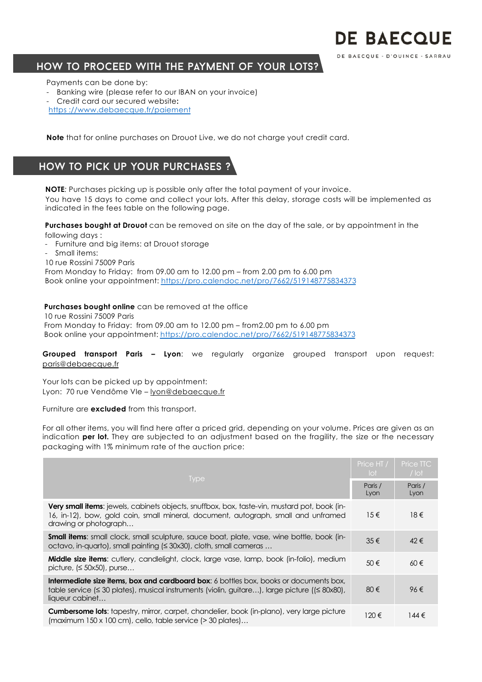# **DE BAECQUE**

DE BAECQUE - D'OUINCE - SARRAU

## How to proceed with the payment of your lots?

Payments can be done by:

- Banking wire (please refer to our IBAN on your invoice)
- Credit card our secured website**:**
- https [://www.debaecque.fr/paiem](https://www.debaecque.fr/paiement)ent

**Note** that for online purchases on Drouot Live, we do not charge yout credit card.

## How to pick up your purchases ?

**NOTE***:* Purchases picking up is possible only after the total payment of your invoice. You have 15 days to come and collect your lots. After this delay, storage costs will be implemented as indicated in the fees table on the following page.

**Purchases bought at Drouot** can be removed on site on the day of the sale, or by appointment in the following days :

- Furniture and big items: at Drouot storage
- Small items:

10 rue Rossini 75009 Paris

From Monday to Friday: from 09.00 am to 12.00 pm – from 2.00 pm to 6.00 pm Book online your appointment: [https://pro.calendoc.net/pro/7662/519148775834](https://pro.calendoc.net/pro/7662/519148775834373)373

#### **Purchases bought online** can be removed at the office

10 rue Rossini 75009 Paris From Monday to Friday: from 09.00 am to 12.00 pm – from2.00 pm to 6.00 pm Book online your appointm[ent: https://pro.calendoc.net/pro/7662/519148775834](https://pro.calendoc.net/pro/7662/519148775834373)373

**Grouped transport Paris – Lyon**: we regularly organize grouped transport upon request: paris@debaecque.fr

Your lots can be picked up by appointment: Lyon: 70 rue Vendôme VIe – lyon@debaecque.fr

Furniture are **excluded** from this transport.

For all other items, you will find here after a priced grid, depending on your volume. Prices are given as an indication **per lot.** They are subjected to an adjustment based on the fragility, the size or the necessary packaging with 1% minimum rate of the auction price:

| <b>Type</b>                                                                                                                                                                                                                  | Price HT /<br>lot | Price TTC<br>$/$ lot |
|------------------------------------------------------------------------------------------------------------------------------------------------------------------------------------------------------------------------------|-------------------|----------------------|
|                                                                                                                                                                                                                              |                   | Paris /<br>Lyon      |
| <b>Very small items:</b> jewels, cabinets objects, snuffbox, box, taste-vin, mustard pot, book (in-<br>16, in-12), bow, gold coin, small mineral, document, autograph, small and unframed<br>drawing or photograph           | $15 \in$          | $18 \in$             |
| <b>Small items:</b> small clock, small sculpture, sauce boat, plate, vase, wine bottle, book (in-<br>octavo, in-quarto), small painting (≤ 30x30), cloth, small cameras                                                      | $35 \in$          | $42 \in$             |
| <b>Middle size items:</b> cutlery, candlelight, clock, large vase, lamp, book (in-folio), medium<br>picture, $(\leq 50x50)$ , purse                                                                                          | 50€               | $60 \in$             |
| <b>Intermediate size items, box and cardboard box:</b> 6 bottles box, books or documents box,<br>table service ( $\leq$ 30 plates), musical instruments (violin, guitare), large picture ( $\leq$ 80x80),<br>liqueur cabinet | 80€               | 96€                  |
| Cumbersome lots: tapestry, mirror, carpet, chandelier, book (in-plano), very large picture<br>$(\text{maximum } 150 \times 100 \text{ cm})$ , cello, table service (> 30 plates)                                             | 120€              | $144 \in$            |